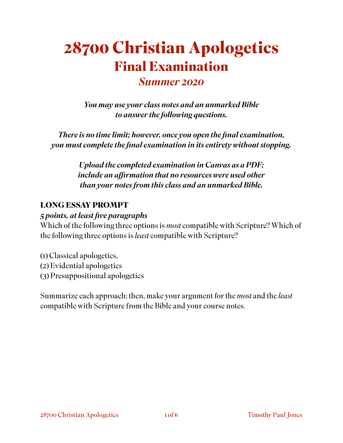# **28700 Christian Apologetics Final Examination**  *Summer 2020*

*You may use your class notes and an unmarked Bible to answer the following questions.* 

*There is no time limit; however, once you open the final examination, you must complete the final examination in its entirety without stopping.* 

> *Upload the completed examination in Canvas as a PDF; include an affirmation that no resources were used other than your notes from this class and an unmarked Bible.*

#### **LONG ESSAY PROMPT**

#### *5 points, at least five paragraphs*

Which of the following three options is *most* compatible with Scripture? Which of the following three options is *least* compatible with Scripture?

- (1) Classical apologetics, (2) Evidential apologetics
- (3) Presuppositional apologetics

Summarize each approach; then, make your argument for the *most* and the *least*  compatible with Scripture from the Bible and your course notes.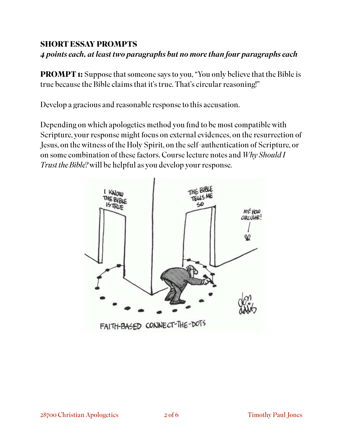### **SHORT ESSAY PROMPTS**

### *4 points each, at least two paragraphs but no more than four paragraphs each*

**PROMPT 1:** Suppose that someone says to you, "You only believe that the Bible is true because the Bible claims that it's true. That's circular reasoning!"

Develop a gracious and reasonable response to this accusation.

Depending on which apologetics method you find to be most compatible with Scripture, your response might focus on external evidences, on the resurrection of Jesus, on the witness of the Holy Spirit, on the self-authentication of Scripture, or on some combination of these factors. Course lecture notes and *Why Should I Trust the Bible?* will be helpful as you develop your response.

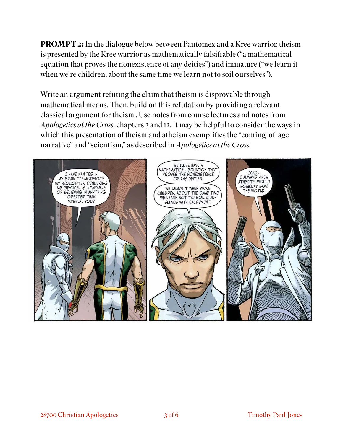**PROMPT 2:** In the dialogue below between Fantomex and a Kree warrior, theism is presented by the Kree warrior as mathematically falsifiable ("a mathematical equation that proves the nonexistence of any deities") and immature ("we learn it when we're children, about the same time we learn not to soil ourselves").

Write an argument refuting the claim that theism is disprovable through mathematical means. Then, build on this refutation by providing a relevant classical argument for theism . Use notes from course lectures and notes from *Apologetics at the Cross,* chapters 3 and 12. It may be helpful to consider the ways in which this presentation of theism and atheism exemplifies the "coming-of-age narrative" and "scientism," as described in *Apologetics at the Cross*.

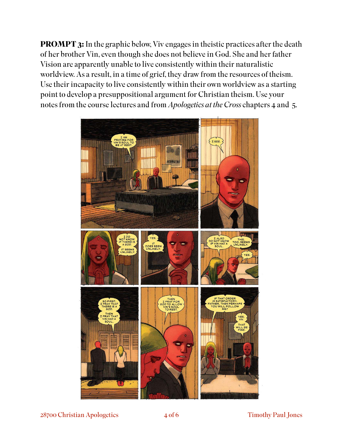**PROMPT 3:** In the graphic below, Viv engages in theistic practices after the death of her brother Vin, even though she does not believe in God. She and her father Vision are apparently unable to live consistently within their naturalistic worldview. As a result, in a time of grief, they draw from the resources of theism. Use their incapacity to live consistently within their own worldview as a starting point to develop a presuppositional argument for Christian theism. Use your notes from the course lectures and from *Apologetics at the Cross* chapters 4 and 5.



28700 Christian Apologetics 4 of 6 Timothy Paul Jones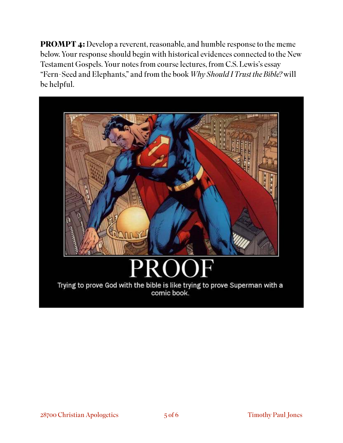**PROMPT 4:** Develop a reverent, reasonable, and humble response to the meme below. Your response should begin with historical evidences connected to the New Testament Gospels. Your notes from course lectures, from C.S. Lewis's essay "Fern-Seed and Elephants," and from the book *Why Should I Trust the Bible?* will be helpful.



## Trying to prove God with the bible is like trying to prove Superman with a comic book.